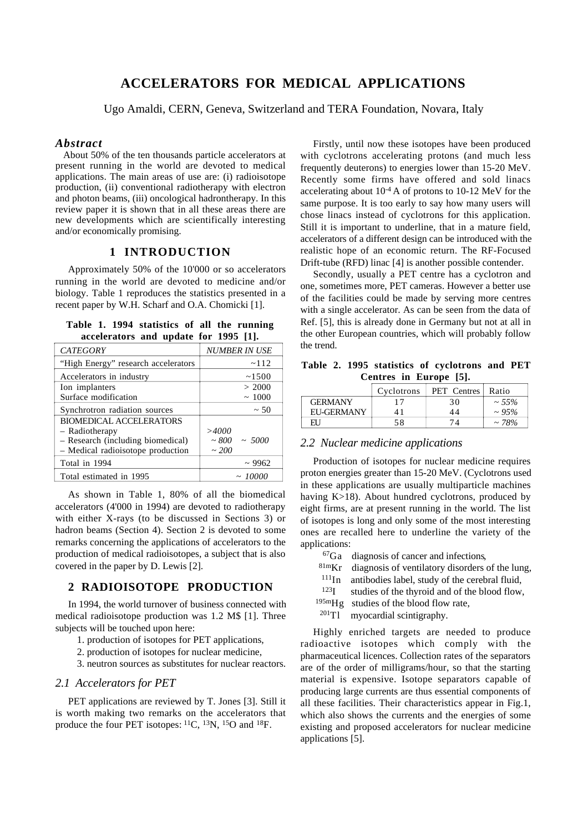# **ACCELERATORS FOR MEDICAL APPLICATIONS**

Ugo Amaldi, CERN, Geneva, Switzerland and TERA Foundation, Novara, Italy

#### *Abstract*

About 50% of the ten thousands particle accelerators at present running in the world are devoted to medical applications. The main areas of use are: (i) radioisotope production, (ii) conventional radiotherapy with electron and photon beams, (iii) oncological hadrontherapy. In this review paper it is shown that in all these areas there are new developments which are scientifically interesting and/or economically promising.

# **1 INTRODUCTION**

Approximately 50% of the 10'000 or so accelerators running in the world are devoted to medicine and/or biology. Table 1 reproduces the statistics presented in a recent paper by W.H. Scharf and O.A. Chomicki [1].

**Table 1. 1994 statistics of all the running accelerators and update for 1995 [1].**

| <b>CATEGORY</b>                     | <b>NUMBER IN USE</b> |
|-------------------------------------|----------------------|
| "High Energy" research accelerators | ~112                 |
| Accelerators in industry            | ~1500                |
| Ion implanters                      | > 2000               |
| Surface modification                | ~1000                |
| Synchrotron radiation sources       | $~\sim 50$           |
| <b>BIOMEDICAL ACCELERATORS</b>      |                      |
| - Radiotherapy                      | >4000                |
| - Research (including biomedical)   | $\sim 800 \sim 5000$ |
| - Medical radioisotope production   | ~100                 |
| Total in 1994                       | ~2962                |
| Total estimated in 1995             | ~10000               |

As shown in Table 1, 80% of all the biomedical accelerators (4'000 in 1994) are devoted to radiotherapy with either X-rays (to be discussed in Sections 3) or hadron beams (Section 4). Section 2 is devoted to some remarks concerning the applications of accelerators to the production of medical radioisotopes, a subject that is also covered in the paper by D. Lewis [2].

# **2 RADIOISOTOPE PRODUCTION**

In 1994, the world turnover of business connected with medical radioisotope production was 1.2 M\$ [1]. Three subjects will be touched upon here:

- 1. production of isotopes for PET applications,
- 2. production of isotopes for nuclear medicine,
- 3. neutron sources as substitutes for nuclear reactors.

#### *2.1 Accelerators for PET*

PET applications are reviewed by T. Jones [3]. Still it is worth making two remarks on the accelerators that produce the four PET isotopes: 11C, 13N, 15O and 18F.

Firstly, until now these isotopes have been produced with cyclotrons accelerating protons (and much less frequently deuterons) to energies lower than 15-20 MeV. Recently some firms have offered and sold linacs accelerating about 10-4 A of protons to 10-12 MeV for the same purpose. It is too early to say how many users will chose linacs instead of cyclotrons for this application. Still it is important to underline, that in a mature field, accelerators of a different design can be introduced with the realistic hope of an economic return. The RF-Focused Drift-tube (RFD) linac [4] is another possible contender.

Secondly, usually a PET centre has a cyclotron and one, sometimes more, PET cameras. However a better use of the facilities could be made by serving more centres with a single accelerator. As can be seen from the data of Ref. [5], this is already done in Germany but not at all in the other European countries, which will probably follow the trend.

**Table 2. 1995 statistics of cyclotrons and PET Centres in Europe [5].**

|                | Cyclotrons | PET Centres | Ratio       |
|----------------|------------|-------------|-------------|
| <b>GERMANY</b> |            | 30          | $\sim 55\%$ |
| EU-GERMANY     | 41         | 44          | $\sim 95\%$ |
| FН             | 58         | 74          | $\sim$ 78%  |

### *2.2 Nuclear medicine applications*

Production of isotopes for nuclear medicine requires proton energies greater than 15-20 MeV. (Cyclotrons used in these applications are usually multiparticle machines having K>18). About hundred cyclotrons, produced by eight firms, are at present running in the world. The list of isotopes is long and only some of the most interesting ones are recalled here to underline the variety of the applications:

 ${}^{67}Ga$  diagnosis of cancer and infections<br> ${}^{81m}Kr$  diagnosis of ventilatory disorders

- diagnosis of ventilatory disorders of the lung,
- 111In antibodies label, study of the cerebral fluid,
- <sup>123</sup>I studies of the thyroid and of the blood flow,
- <sup>195m</sup>Hg studies of the blood flow rate,<br><sup>201</sup>Tl myocardial scintigraphy.

myocardial scintigraphy.

Highly enriched targets are needed to produce radioactive isotopes which comply with the pharmaceutical licences. Collection rates of the separators are of the order of milligrams/hour, so that the starting material is expensive. Isotope separators capable of producing large currents are thus essential components of all these facilities. Their characteristics appear in Fig.1, which also shows the currents and the energies of some existing and proposed accelerators for nuclear medicine applications [5].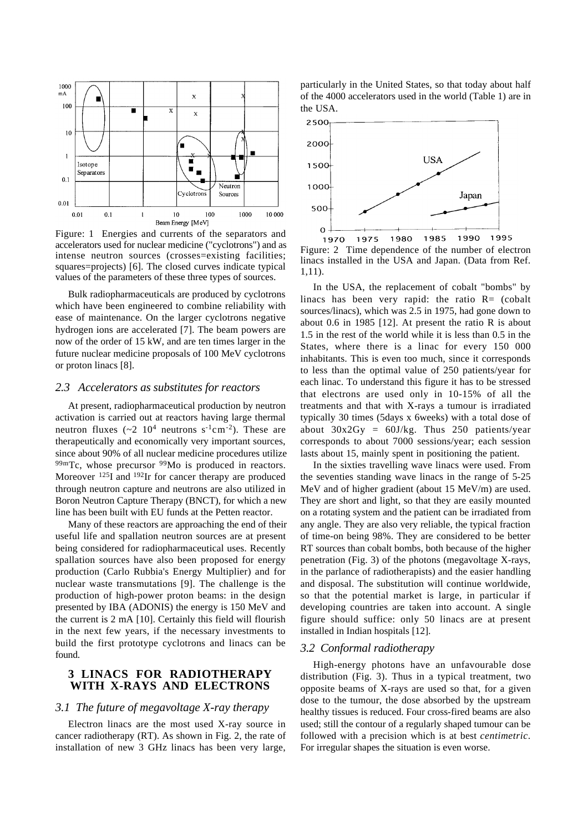

Figure: 1 Energies and currents of the separators and accelerators used for nuclear medicine ("cyclotrons") and as intense neutron sources (crosses=existing facilities; squares=projects) [6]. The closed curves indicate typical values of the parameters of these three types of sources.

Bulk radiopharmaceuticals are produced by cyclotrons which have been engineered to combine reliability with ease of maintenance. On the larger cyclotrons negative hydrogen ions are accelerated [7]. The beam powers are now of the order of 15 kW, and are ten times larger in the future nuclear medicine proposals of 100 MeV cyclotrons or proton linacs [8].

#### *2.3 Accelerators as substitutes for reactors*

At present, radiopharmaceutical production by neutron activation is carried out at reactors having large thermal neutron fluxes  $({\sim}2 \ 10^4 \text{ neutrons s}^{-1} \text{cm}^{-2})$ . These are therapeutically and economically very important sources, since about 90% of all nuclear medicine procedures utilize 99mTc, whose precursor <sup>99</sup>Mo is produced in reactors. Moreover <sup>125</sup>I and <sup>192</sup>Ir for cancer therapy are produced through neutron capture and neutrons are also utilized in Boron Neutron Capture Therapy (BNCT), for which a new line has been built with EU funds at the Petten reactor.

Many of these reactors are approaching the end of their useful life and spallation neutron sources are at present being considered for radiopharmaceutical uses. Recently spallation sources have also been proposed for energy production (Carlo Rubbia's Energy Multiplier) and for nuclear waste transmutations [9]. The challenge is the production of high-power proton beams: in the design presented by IBA (ADONIS) the energy is 150 MeV and the current is 2 mA [10]. Certainly this field will flourish in the next few years, if the necessary investments to build the first prototype cyclotrons and linacs can be found.

## **3 LINACS FOR RADIOTHERAPY WITH X-RAYS AND ELECTRONS**

# *3.1 The future of megavoltage X-ray therapy*

Electron linacs are the most used X-ray source in cancer radiotherapy (RT). As shown in Fig. 2, the rate of installation of new 3 GHz linacs has been very large, particularly in the United States, so that today about half of the 4000 accelerators used in the world (Table 1) are in the USA.



Figure: 2 Time dependence of the number of electron linacs installed in the USA and Japan. (Data from Ref. 1,11).

In the USA, the replacement of cobalt "bombs" by linacs has been very rapid: the ratio  $R =$  (cobalt sources/linacs), which was 2.5 in 1975, had gone down to about 0.6 in 1985 [12]. At present the ratio R is about 1.5 in the rest of the world while it is less than 0.5 in the States, where there is a linac for every 150 000 inhabitants. This is even too much, since it corresponds to less than the optimal value of 250 patients/year for each linac. To understand this figure it has to be stressed that electrons are used only in 10-15% of all the treatments and that with X-rays a tumour is irradiated typically 30 times (5days x 6weeks) with a total dose of about  $30x2Gy = 60J/kg$ . Thus 250 patients/year corresponds to about 7000 sessions/year; each session lasts about 15, mainly spent in positioning the patient.

In the sixties travelling wave linacs were used. From the seventies standing wave linacs in the range of 5-25 MeV and of higher gradient (about 15 MeV/m) are used. They are short and light, so that they are easily mounted on a rotating system and the patient can be irradiated from any angle. They are also very reliable, the typical fraction of time-on being 98%. They are considered to be better RT sources than cobalt bombs, both because of the higher penetration (Fig. 3) of the photons (megavoltage X-rays, in the parlance of radiotherapists) and the easier handling and disposal. The substitution will continue worldwide, so that the potential market is large, in particular if developing countries are taken into account. A single figure should suffice: only 50 linacs are at present installed in Indian hospitals [12].

### *3.2 Conformal radiotherapy*

High-energy photons have an unfavourable dose distribution (Fig. 3). Thus in a typical treatment, two opposite beams of X-rays are used so that, for a given dose to the tumour, the dose absorbed by the upstream healthy tissues is reduced. Four cross-fired beams are also used; still the contour of a regularly shaped tumour can be followed with a precision which is at best *centimetric*. For irregular shapes the situation is even worse.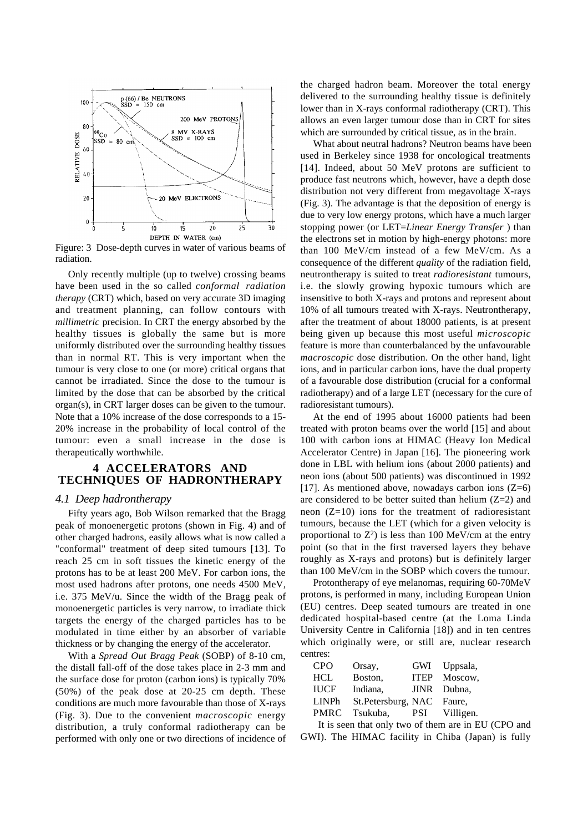

Figure: 3 Dose-depth curves in water of various beams of radiation.

Only recently multiple (up to twelve) crossing beams have been used in the so called *conformal radiation therapy* (CRT) which, based on very accurate 3D imaging and treatment planning, can follow contours with *millimetric* precision. In CRT the energy absorbed by the healthy tissues is globally the same but is more uniformly distributed over the surrounding healthy tissues than in normal RT. This is very important when the tumour is very close to one (or more) critical organs that cannot be irradiated. Since the dose to the tumour is limited by the dose that can be absorbed by the critical organ(s), in CRT larger doses can be given to the tumour. Note that a 10% increase of the dose corresponds to a 15- 20% increase in the probability of local control of the tumour: even a small increase in the dose is therapeutically worthwhile.

## **4 ACCELERATORS AND TECHNIQUES OF HADRONTHERAPY**

## *4.1 Deep hadrontherapy*

Fifty years ago, Bob Wilson remarked that the Bragg peak of monoenergetic protons (shown in Fig. 4) and of other charged hadrons, easily allows what is now called a "conformal" treatment of deep sited tumours [13]. To reach 25 cm in soft tissues the kinetic energy of the protons has to be at least 200 MeV. For carbon ions, the most used hadrons after protons, one needs 4500 MeV, i.e. 375 MeV/u. Since the width of the Bragg peak of monoenergetic particles is very narrow, to irradiate thick targets the energy of the charged particles has to be modulated in time either by an absorber of variable thickness or by changing the energy of the accelerator.

With a *Spread Out Bragg Peak* (SOBP) of 8-10 cm, the distall fall-off of the dose takes place in 2-3 mm and the surface dose for proton (carbon ions) is typically 70% (50%) of the peak dose at 20-25 cm depth. These conditions are much more favourable than those of X-rays (Fig. 3). Due to the convenient *macroscopic* energy distribution, a truly conformal radiotherapy can be performed with only one or two directions of incidence of the charged hadron beam. Moreover the total energy delivered to the surrounding healthy tissue is definitely lower than in X-rays conformal radiotherapy (CRT). This allows an even larger tumour dose than in CRT for sites which are surrounded by critical tissue, as in the brain.

What about neutral hadrons? Neutron beams have been used in Berkeley since 1938 for oncological treatments [14]. Indeed, about 50 MeV protons are sufficient to produce fast neutrons which, however, have a depth dose distribution not very different from megavoltage X-rays (Fig. 3). The advantage is that the deposition of energy is due to very low energy protons, which have a much larger stopping power (or LET=*Linear Energy Transfer* ) than the electrons set in motion by high-energy photons: more than 100 MeV/cm instead of a few MeV/cm. As a consequence of the different *quality* of the radiation field, neutrontherapy is suited to treat *radioresistant* tumours, i.e. the slowly growing hypoxic tumours which are insensitive to both X-rays and protons and represent about 10% of all tumours treated with X-rays. Neutrontherapy, after the treatment of about 18000 patients, is at present being given up because this most useful *microscopic* feature is more than counterbalanced by the unfavourable *macroscopic* dose distribution. On the other hand, light ions, and in particular carbon ions, have the dual property of a favourable dose distribution (crucial for a conformal radiotherapy) and of a large LET (necessary for the cure of radioresistant tumours).

At the end of 1995 about 16000 patients had been treated with proton beams over the world [15] and about 100 with carbon ions at HIMAC (Heavy Ion Medical Accelerator Centre) in Japan [16]. The pioneering work done in LBL with helium ions (about 2000 patients) and neon ions (about 500 patients) was discontinued in 1992 [17]. As mentioned above, nowadays carbon ions  $(Z=6)$ are considered to be better suited than helium  $(Z=2)$  and neon  $(Z=10)$  ions for the treatment of radioresistant tumours, because the LET (which for a given velocity is proportional to  $Z^2$ ) is less than 100 MeV/cm at the entry point (so that in the first traversed layers they behave roughly as X-rays and protons) but is definitely larger than 100 MeV/cm in the SOBP which covers the tumour.

Protontherapy of eye melanomas, requiring 60-70MeV protons, is performed in many, including European Union (EU) centres. Deep seated tumours are treated in one dedicated hospital-based centre (at the Loma Linda University Centre in California [18]) and in ten centres which originally were, or still are, nuclear research centres:

| <b>CPO</b>   | Orsay,             | GWI         | Uppsala,    |
|--------------|--------------------|-------------|-------------|
| <b>HCL</b>   | Boston,            | <b>ITEP</b> | Moscow.     |
| <b>IUCF</b>  | Indiana,           |             | JINR Dubna. |
| <b>LINPh</b> | St.Petersburg, NAC |             | Faure,      |
| <b>PMRC</b>  | Tsukuba.           | <b>PSI</b>  | Villigen.   |

It is seen that only two of them are in EU (CPO and GWI). The HIMAC facility in Chiba (Japan) is fully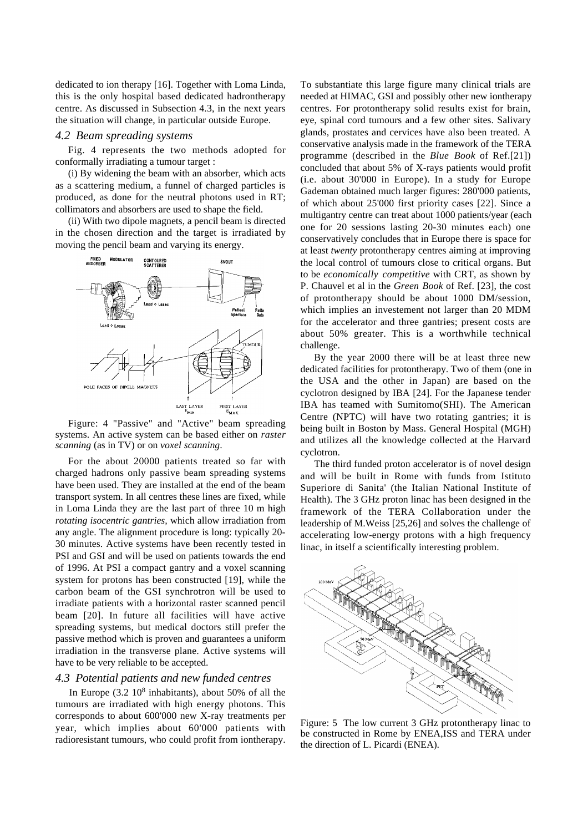dedicated to ion therapy [16]. Together with Loma Linda, this is the only hospital based dedicated hadrontherapy centre. As discussed in Subsection 4.3, in the next years the situation will change, in particular outside Europe.

#### *4.2 Beam spreading systems*

Fig. 4 represents the two methods adopted for conformally irradiating a tumour target :

(i) By widening the beam with an absorber, which acts as a scattering medium, a funnel of charged particles is produced, as done for the neutral photons used in RT; collimators and absorbers are used to shape the field.

(ii) With two dipole magnets, a pencil beam is directed in the chosen direction and the target is irradiated by moving the pencil beam and varying its energy.



Figure: 4 "Passive" and "Active" beam spreading systems. An active system can be based either on *raster scanning* (as in TV) or on *voxel scanning*.

For the about 20000 patients treated so far with charged hadrons only passive beam spreading systems have been used. They are installed at the end of the beam transport system. In all centres these lines are fixed, while in Loma Linda they are the last part of three 10 m high *rotating isocentric gantries,* which allow irradiation from any angle. The alignment procedure is long: typically 20- 30 minutes. Active systems have been recently tested in PSI and GSI and will be used on patients towards the end of 1996. At PSI a compact gantry and a voxel scanning system for protons has been constructed [19], while the carbon beam of the GSI synchrotron will be used to irradiate patients with a horizontal raster scanned pencil beam [20]. In future all facilities will have active spreading systems, but medical doctors still prefer the passive method which is proven and guarantees a uniform irradiation in the transverse plane. Active systems will have to be very reliable to be accepted.

### *4.3 Potential patients and new funded centres*

In Europe  $(3.2 \ 10^8 \text{ inhabitants})$ , about 50% of all the tumours are irradiated with high energy photons. This corresponds to about 600'000 new X-ray treatments per year, which implies about 60'000 patients with radioresistant tumours, who could profit from iontherapy.

To substantiate this large figure many clinical trials are needed at HIMAC, GSI and possibly other new iontherapy centres. For protontherapy solid results exist for brain, eye, spinal cord tumours and a few other sites. Salivary glands, prostates and cervices have also been treated. A conservative analysis made in the framework of the TERA programme (described in the *Blue Book* of Ref.[21]) concluded that about 5% of X-rays patients would profit (i.e. about 30'000 in Europe). In a study for Europe Gademan obtained much larger figures: 280'000 patients, of which about 25'000 first priority cases [22]. Since a multigantry centre can treat about 1000 patients/year (each one for 20 sessions lasting 20-30 minutes each) one conservatively concludes that in Europe there is space for at least *twenty* protontherapy centres aiming at improving the local control of tumours close to critical organs. But to be *economically competitive* with CRT, as shown by P. Chauvel et al in the *Green Book* of Ref. [23], the cost of protontherapy should be about 1000 DM/session, which implies an investement not larger than 20 MDM for the accelerator and three gantries; present costs are about 50% greater. This is a worthwhile technical challenge.

By the year 2000 there will be at least three new dedicated facilities for protontherapy. Two of them (one in the USA and the other in Japan) are based on the cyclotron designed by IBA [24]. For the Japanese tender IBA has teamed with Sumitomo(SHI). The American Centre (NPTC) will have two rotating gantries; it is being built in Boston by Mass. General Hospital (MGH) and utilizes all the knowledge collected at the Harvard cyclotron.

The third funded proton accelerator is of novel design and will be built in Rome with funds from Istituto Superiore di Sanita' (the Italian National Institute of Health). The 3 GHz proton linac has been designed in the framework of the TERA Collaboration under the leadership of M.Weiss [25,26] and solves the challenge of accelerating low-energy protons with a high frequency linac, in itself a scientifically interesting problem.



Figure: 5 The low current 3 GHz protontherapy linac to be constructed in Rome by ENEA,ISS and TERA under the direction of L. Picardi (ENEA).